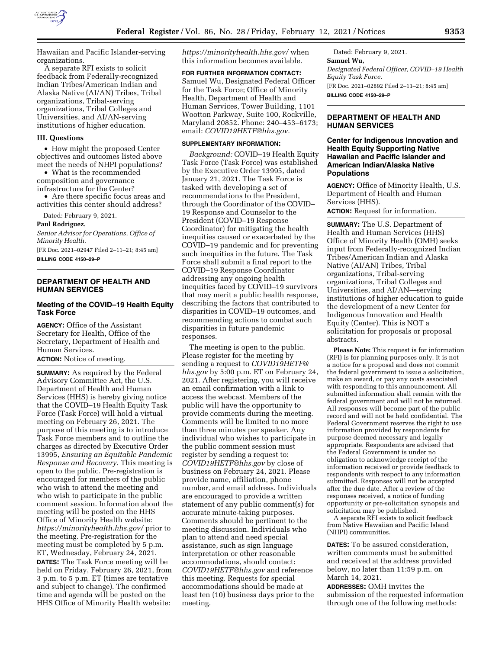

Hawaiian and Pacific Islander-serving organizations.

A separate RFI exists to solicit feedback from Federally-recognized Indian Tribes/American Indian and Alaska Native (AI/AN) Tribes, Tribal organizations, Tribal-serving organizations, Tribal Colleges and Universities, and AI/AN-serving institutions of higher education.

#### **III. Questions**

• How might the proposed Center objectives and outcomes listed above meet the needs of NHPI populations?

• What is the recommended composition and governance infrastructure for the Center?

• Are there specific focus areas and activities this center should address?

Dated: February 9, 2021.

#### **Paul Rodriguez,**

*Senior Advisor for Operations, Office of Minority Health.* 

[FR Doc. 2021–02947 Filed 2–11–21; 8:45 am] **BILLING CODE 4150–29–P** 

#### **DEPARTMENT OF HEALTH AND HUMAN SERVICES**

# **Meeting of the COVID–19 Health Equity Task Force**

**AGENCY:** Office of the Assistant Secretary for Health, Office of the Secretary, Department of Health and Human Services.

**ACTION:** Notice of meeting.

**SUMMARY:** As required by the Federal Advisory Committee Act, the U.S. Department of Health and Human Services (HHS) is hereby giving notice that the COVID–19 Health Equity Task Force (Task Force) will hold a virtual meeting on February 26, 2021. The purpose of this meeting is to introduce Task Force members and to outline the charges as directed by Executive Order 13995, *Ensuring an Equitable Pandemic Response and Recovery.* This meeting is open to the public. Pre-registration is encouraged for members of the public who wish to attend the meeting and who wish to participate in the public comment session. Information about the meeting will be posted on the HHS Office of Minority Health website: *<https://minorityhealth.hhs.gov/>*prior to the meeting. Pre-registration for the meeting must be completed by 5 p.m. ET, Wednesday, February 24, 2021. **DATES:** The Task Force meeting will be held on Friday, February 26, 2021, from 3 p.m. to 5 p.m. ET (times are tentative and subject to change). The confirmed time and agenda will be posted on the HHS Office of Minority Health website:

*<https://minorityhealth.hhs.gov/>*when this information becomes available.

**FOR FURTHER INFORMATION CONTACT:**  Samuel Wu, Designated Federal Officer for the Task Force; Office of Minority Health, Department of Health and Human Services, Tower Building, 1101 Wootton Parkway, Suite 100, Rockville, Maryland 20852. Phone: 240–453–6173; email: *[COVID19HETF@hhs.gov.](mailto:COVID19HETF@hhs.gov)* 

#### **SUPPLEMENTARY INFORMATION:**

*Background:* COVID–19 Health Equity Task Force (Task Force) was established by the Executive Order 13995, dated January 21, 2021. The Task Force is tasked with developing a set of recommendations to the President, through the Coordinator of the COVID– 19 Response and Counselor to the President (COVID–19 Response Coordinator) for mitigating the health inequities caused or exacerbated by the COVID–19 pandemic and for preventing such inequities in the future. The Task Force shall submit a final report to the COVID–19 Response Coordinator addressing any ongoing health inequities faced by COVID–19 survivors that may merit a public health response, describing the factors that contributed to disparities in COVID–19 outcomes, and recommending actions to combat such disparities in future pandemic responses.

The meeting is open to the public. Please register for the meeting by sending a request to *[COVID19HETF@](mailto:COVID19HETF@hhs.gov) [hhs.gov](mailto:COVID19HETF@hhs.gov)* by 5:00 p.m. ET on February 24, 2021. After registering, you will receive an email confirmation with a link to access the webcast. Members of the public will have the opportunity to provide comments during the meeting. Comments will be limited to no more than three minutes per speaker. Any individual who wishes to participate in the public comment session must register by sending a request to: *[COVID19HETF@hhs.gov](mailto:COVID19HETF@hhs.gov)* by close of business on February 24, 2021. Please provide name, affiliation, phone number, and email address. Individuals are encouraged to provide a written statement of any public comment(s) for accurate minute-taking purposes. Comments should be pertinent to the meeting discussion. Individuals who plan to attend and need special assistance, such as sign language interpretation or other reasonable accommodations, should contact: *[COVID19HETF@hhs.gov](mailto:COVID19HETF@hhs.gov)* and reference this meeting. Requests for special accommodations should be made at least ten (10) business days prior to the meeting.

Dated: February 9, 2021. **Samuel Wu,**  *Designated Federal Officer, COVID–19 Health Equity Task Force.*  [FR Doc. 2021–02892 Filed 2–11–21; 8:45 am] **BILLING CODE 4150–29–P** 

# **DEPARTMENT OF HEALTH AND HUMAN SERVICES**

## **Center for Indigenous Innovation and Health Equity Supporting Native Hawaiian and Pacific Islander and American Indian/Alaska Native Populations**

**AGENCY:** Office of Minority Health, U.S. Department of Health and Human Services (HHS).

**ACTION:** Request for information.

**SUMMARY:** The U.S. Department of Health and Human Services (HHS) Office of Minority Health (OMH) seeks input from Federally-recognized Indian Tribes/American Indian and Alaska Native (AI/AN) Tribes, Tribal organizations, Tribal-serving organizations, Tribal Colleges and Universities, and AI/AN—serving institutions of higher education to guide the development of a new Center for Indigenous Innovation and Health Equity (Center). This is NOT a solicitation for proposals or proposal abstracts.

**Please Note:** This request is for information (RFI) is for planning purposes only. It is not a notice for a proposal and does not commit the federal government to issue a solicitation, make an award, or pay any costs associated with responding to this announcement. All submitted information shall remain with the federal government and will not be returned. All responses will become part of the public record and will not be held confidential. The Federal Government reserves the right to use information provided by respondents for purpose deemed necessary and legally appropriate. Respondents are advised that the Federal Government is under no obligation to acknowledge receipt of the information received or provide feedback to respondents with respect to any information submitted. Responses will not be accepted after the due date. After a review of the responses received, a notice of funding opportunity or pre-solicitation synopsis and solicitation may be published.

A separate RFI exists to solicit feedback from Native Hawaiian and Pacific Island (NHPI) communities.

**DATES:** To be assured consideration, written comments must be submitted and received at the address provided below, no later than 11:59 p.m. on March 14, 2021.

**ADDRESSES:** OMH invites the submission of the requested information through one of the following methods: